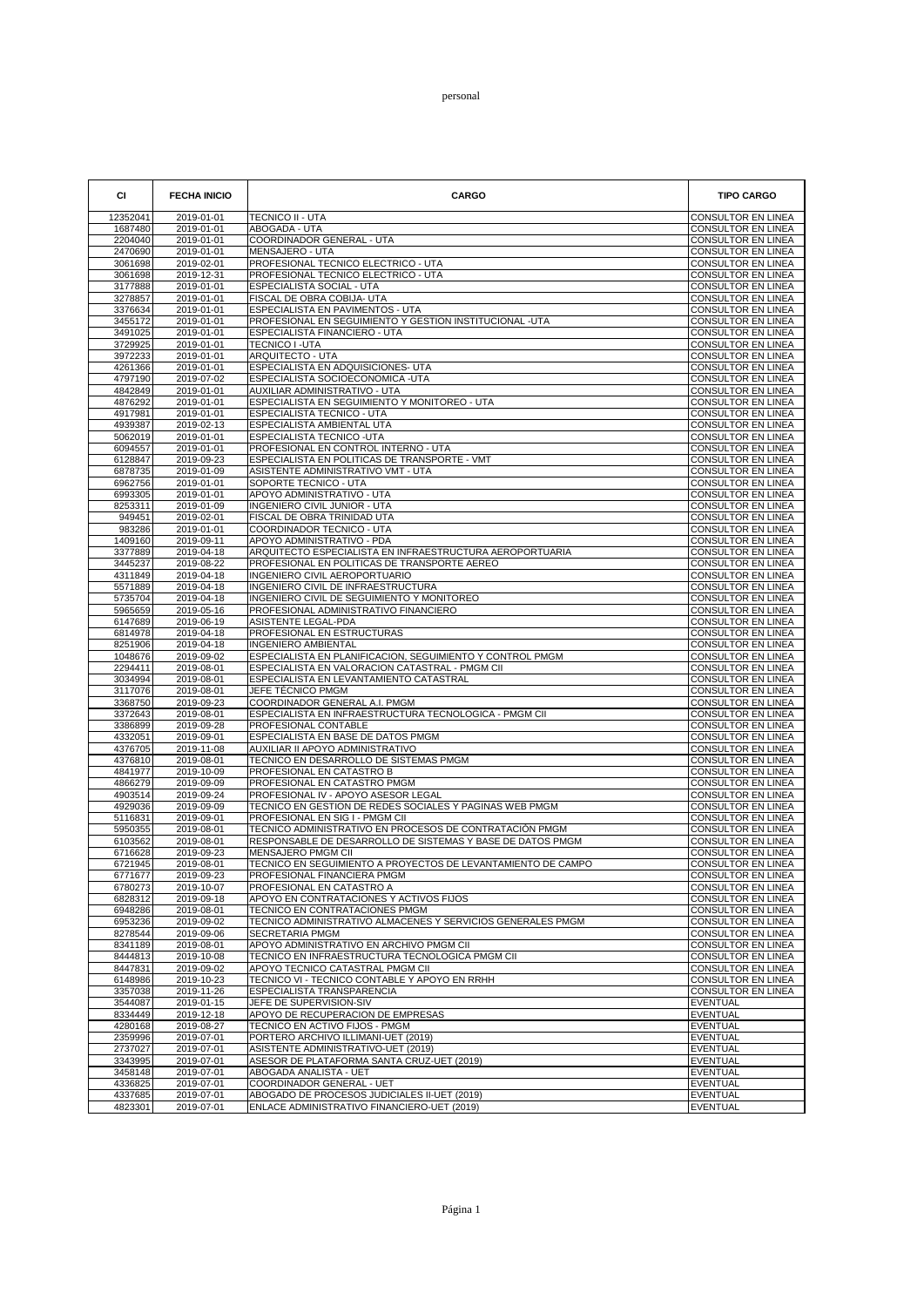## personal

| <b>CI</b>          | <b>FECHA INICIO</b>            | <b>CARGO</b>                                                                                  | <b>TIPO CARGO</b>                                      |
|--------------------|--------------------------------|-----------------------------------------------------------------------------------------------|--------------------------------------------------------|
| 12352041           | 2019-01-01                     | <b>TECNICO II - UTA</b>                                                                       | CONSULTOR EN LINEA                                     |
| 1687480<br>2204040 | 2019-01-01<br>2019-01-01       | ABOGADA - UTA<br>COORDINADOR GENERAL - UTA                                                    | <b>CONSULTOR EN LINEA</b><br><b>CONSULTOR EN LINEA</b> |
| 2470690            | 2019-01-01                     | MENSAJERO - UTA                                                                               | <b>CONSULTOR EN LINEA</b>                              |
| 3061698            | 2019-02-01                     | PROFESIONAL TECNICO ELECTRICO - UTA                                                           | <b>CONSULTOR EN LINEA</b>                              |
| 3061698            | 2019-12-31                     | PROFESIONAL TECNICO ELECTRICO - UTA                                                           | <b>CONSULTOR EN LINEA</b>                              |
| 3177888<br>3278857 | 2019-01-01<br>2019-01-01       | ESPECIALISTA SOCIAL - UTA<br>FISCAL DE OBRA COBIJA- UTA                                       | CONSULTOR EN LINEA<br>CONSULTOR EN LINEA               |
| 3376634            | 2019-01-01                     | ESPECIALISTA EN PAVIMENTOS - UTA                                                              | CONSULTOR EN LINEA                                     |
| 3455172<br>3491025 | 2019-01-01                     | PROFESIONAL EN SEGUIMIENTO Y GESTION INSTITUCIONAL -UTA                                       | CONSULTOR EN LINEA                                     |
| 3729925            | 2019-01-01<br>2019-01-01       | ESPECIALISTA FINANCIERO - UTA<br>TECNICO I -UTA                                               | CONSULTOR EN LINEA<br>CONSULTOR EN LINEA               |
| 3972233            | 2019-01-01                     | <b>ARQUITECTO - UTA</b>                                                                       | <b>CONSULTOR EN LINEA</b>                              |
| 4261366            | 2019-01-01                     | ESPECIALISTA EN ADQUISICIONES- UTA                                                            | <b>CONSULTOR EN LINEA</b>                              |
| 4797190<br>4842849 | 2019-07-02<br>2019-01-01       | ESPECIALISTA SOCIOECONOMICA -UTA<br>AUXILIAR ADMINISTRATIVO - UTA                             | CONSULTOR EN LINEA<br>CONSULTOR EN LINEA               |
| 4876292            | 2019-01-01                     | ESPECIALISTA EN SEGUIMIENTO Y MONITOREO - UTA                                                 | <b>CONSULTOR EN LINEA</b>                              |
| 4917981            | 2019-01-01                     | ESPECIALISTA TECNICO - UTA                                                                    | CONSULTOR EN LINEA                                     |
| 4939387<br>5062019 | 2019-02-13<br>2019-01-01       | ESPECIALISTA AMBIENTAL UTA<br>ESPECIALISTA TECNICO - UTA                                      | CONSULTOR EN LINEA<br>CONSULTOR EN LINEA               |
| 6094557            | 2019-01-01                     | PROFESIONAL EN CONTROL INTERNO - UTA                                                          | CONSULTOR EN LINEA                                     |
| 6128847            | 2019-09-23                     | ESPECIALISTA EN POLITICAS DE TRANSPORTE - VMT                                                 | CONSULTOR EN LINEA                                     |
| 6878735<br>6962756 | 2019-01-09<br>2019-01-01       | ASISTENTE ADMINISTRATIVO VMT - UTA<br>SOPORTE TECNICO - UTA                                   | CONSULTOR EN LINEA<br>CONSULTOR EN LINEA               |
| 6993305            | 2019-01-01                     | APOYO ADMINISTRATIVO - UTA                                                                    | CONSULTOR EN LINEA                                     |
| 8253311            | 2019-01-09                     | <b>INGENIERO CIVIL JUNIOR - UTA</b>                                                           | CONSULTOR EN LINEA                                     |
| 949451             | 2019-02-01                     | FISCAL DE OBRA TRINIDAD UTA<br>COORDINADOR TECNICO - UTA                                      | CONSULTOR EN LINEA<br><b>CONSULTOR EN LINEA</b>        |
| 983286<br>1409160  | 2019-01-01<br>2019-09-11       | APOYO ADMINISTRATIVO - PDA                                                                    | CONSULTOR EN LINEA                                     |
| 3377889            | 2019-04-18                     | ARQUITECTO ESPECIALISTA EN INFRAESTRUCTURA AEROPORTUARIA                                      | <b>CONSULTOR EN LINEA</b>                              |
| 3445237            | 2019-08-22                     | PROFESIONAL EN POLITICAS DE TRANSPORTE AEREO                                                  | <b>CONSULTOR EN LINEA</b>                              |
| 4311849<br>5571889 | 2019-04-18<br>2019-04-18       | INGENIERO CIVIL AEROPORTUARIO<br>INGENIERO CIVIL DE INFRAESTRUCTURA                           | CONSULTOR EN LINEA<br>CONSULTOR EN LINEA               |
| 5735704            | 2019-04-18                     | INGENIERO CIVIL DE SEGUIMIENTO Y MONITOREO                                                    | <b>CONSULTOR EN LINEA</b>                              |
| 5965659            | 2019-05-16                     | PROFESIONAL ADMINISTRATIVO FINANCIERO                                                         | CONSULTOR EN LINEA                                     |
| 6147689<br>6814978 | $2019 - 06 - 19$<br>2019-04-18 | ASISTENTE LEGAL-PDA<br>PROFESIONAL EN ESTRUCTURAS                                             | CONSULTOR EN LINEA<br>CONSULTOR EN LINEA               |
| 8251906            | 2019-04-18                     | <b>INGENIERO AMBIENTAL</b>                                                                    | CONSULTOR EN LINEA                                     |
| 1048676            | 2019-09-02                     | ESPECIALISTA EN PLANIFICACION, SEGUIMIENTO Y CONTROL PMGM                                     | CONSULTOR EN LINEA                                     |
| 2294411<br>3034994 | 2019-08-01<br>2019-08-01       | ESPECIALISTA EN VALORACION CATASTRAL - PMGM CII<br>ESPECIALISTA EN LEVANTAMIENTO CATASTRAL    | <b>CONSULTOR EN LINEA</b><br>CONSULTOR EN LINEA        |
| 3117076            | 2019-08-01                     | JEFE TÉCNICO PMGM                                                                             | <b>CONSULTOR EN LINEA</b>                              |
| 3368750            | 2019-09-23                     | COORDINADOR GENERAL A.I. PMGM                                                                 | CONSULTOR EN LINEA                                     |
| 3372643<br>3386899 | 2019-08-01<br>2019-09-28       | ESPECIALISTA EN INFRAESTRUCTURA TECNOLOGICA - PMGM CII<br>PROFESIONAL CONTABLE                | CONSULTOR EN LINEA<br>CONSULTOR EN LINEA               |
| 4332051            | 2019-09-01                     | ESPECIALISTA EN BASE DE DATOS PMGM                                                            | CONSULTOR EN LINEA                                     |
| 4376705            | 2019-11-08                     | AUXILIAR II APOYO ADMINISTRATIVO                                                              | CONSULTOR EN LINEA                                     |
| 4376810<br>4841977 | 2019-08-01                     | TECNICO EN DESARROLLO DE SISTEMAS PMGM                                                        | CONSULTOR EN LINEA                                     |
| 4866279            | 2019-10-09<br>2019-09-09       | PROFESIONAL EN CATASTRO B<br>PROFESIONAL EN CATASTRO PMGM                                     | CONSULTOR EN LINEA<br>CONSULTOR EN LINEA               |
| 4903514            | 2019-09-24                     | PROFESIONAL IV - APOYO ASESOR LEGAL                                                           | CONSULTOR EN LINEA                                     |
| 4929036            | 2019-09-09                     | TECNICO EN GESTION DE REDES SOCIALES Y PAGINAS WEB PMGM                                       | <b>CONSULTOR EN LINEA</b>                              |
| 5116831<br>5950355 | 2019-09-01<br>2019-08-01       | PROFESIONAL EN SIG I - PMGM CII<br>TECNICO ADMINISTRATIVO EN PROCESOS DE CONTRATACIÓN PMGM    | <b>CONSULTOR EN LINEA</b><br>CONSULTOR EN LINEA        |
| 6103562            | 2019-08-01                     | RESPONSABLE DE DESARROLLO DE SISTEMAS Y BASE DE DATOS PMGM                                    | <b>CONSULTOR EN LINEA</b>                              |
| 6716628            | 2019-09-23<br>2019-08-01       | <b>MENSAJERO PMGM CII</b>                                                                     | <b>CONSULTOR EN LINEA</b>                              |
| 6721945<br>6771677 | 2019-09-23                     | TECNICO EN SEGUIMIENTO A PROYECTOS DE LEVANTAMIENTO DE CAMPO<br>PROFESIONAL FINANCIERA PMGM   | <b>CONSULTOR EN LINEA</b><br>CONSULTOR EN LINEA        |
| 6780273            | 2019-10-07                     | PROFESIONAL EN CATASTRO A                                                                     | CONSULTOR EN LINEA                                     |
| 6828312            | 2019-09-18                     | APOYO EN CONTRATACIONES Y ACTIVOS FIJOS                                                       | CONSULTOR EN LINEA                                     |
| 6948286<br>6953236 | 2019-08-01<br>2019-09-02       | TECNICO EN CONTRATACIONES PMGM<br>TECNICO ADMINISTRATIVO ALMACENES Y SERVICIOS GENERALES PMGM | CONSULTOR EN LINEA<br>CONSULTOR EN LINEA               |
| 8278544            | 2019-09-06                     | SECRETARIA PMGM                                                                               | <b>CONSULTOR EN LINEA</b>                              |
| 8341189            | 2019-08-01                     | APOYO ADMINISTRATIVO EN ARCHIVO PMGM CII                                                      | CONSULTOR EN LINEA                                     |
| 8444813<br>8447831 | 2019-10-08<br>2019-09-02       | TECNICO EN INFRAESTRUCTURA TECNOLOGICA PMGM CII<br>APOYO TECNICO CATASTRAL PMGM CII           | CONSULTOR EN LINEA<br>CONSULTOR EN LINEA               |
| 6148986            | 2019-10-23                     | TECNICO VI - TECNICO CONTABLE Y APOYO EN RRHH                                                 | CONSULTOR EN LINEA                                     |
| 3357038            | 2019-11-26                     | ESPECIALISTA TRANSPARENCIA                                                                    | CONSULTOR EN LINEA                                     |
| 3544087<br>8334449 | 2019-01-15<br>2019-12-18       | JEFE DE SUPERVISION-SIV<br>APOYO DE RECUPERACION DE EMPRESAS                                  | <b>EVENTUAL</b><br><b>EVENTUAL</b>                     |
| 4280168            | 2019-08-27                     | TECNICO EN ACTIVO FIJOS - PMGM                                                                | <b>EVENTUAL</b>                                        |
| 2359996            | 2019-07-01                     | PORTERO ARCHIVO ILLIMANI-UET (2019)                                                           | <b>EVENTUAL</b>                                        |
| 2737027<br>3343995 | 2019-07-01<br>2019-07-01       | ASISTENTE ADMINISTRATIVO-UET (2019)<br>ASESOR DE PLATAFORMA SANTA CRUZ-UET (2019)             | <b>EVENTUAL</b><br><b>EVENTUAL</b>                     |
| 3458148            | 2019-07-01                     | ABOGADA ANALISTA - UET                                                                        | <b>EVENTUAL</b>                                        |
| 4336825            | 2019-07-01                     | COORDINADOR GENERAL - UET                                                                     | <b>EVENTUAL</b>                                        |
| 4337685            | 2019-07-01                     | ABOGADO DE PROCESOS JUDICIALES II-UET (2019)                                                  | <b>EVENTUAL</b>                                        |
| 4823301            | 2019-07-01                     | ENLACE ADMINISTRATIVO FINANCIERO-UET (2019)                                                   | <b>EVENTUAL</b>                                        |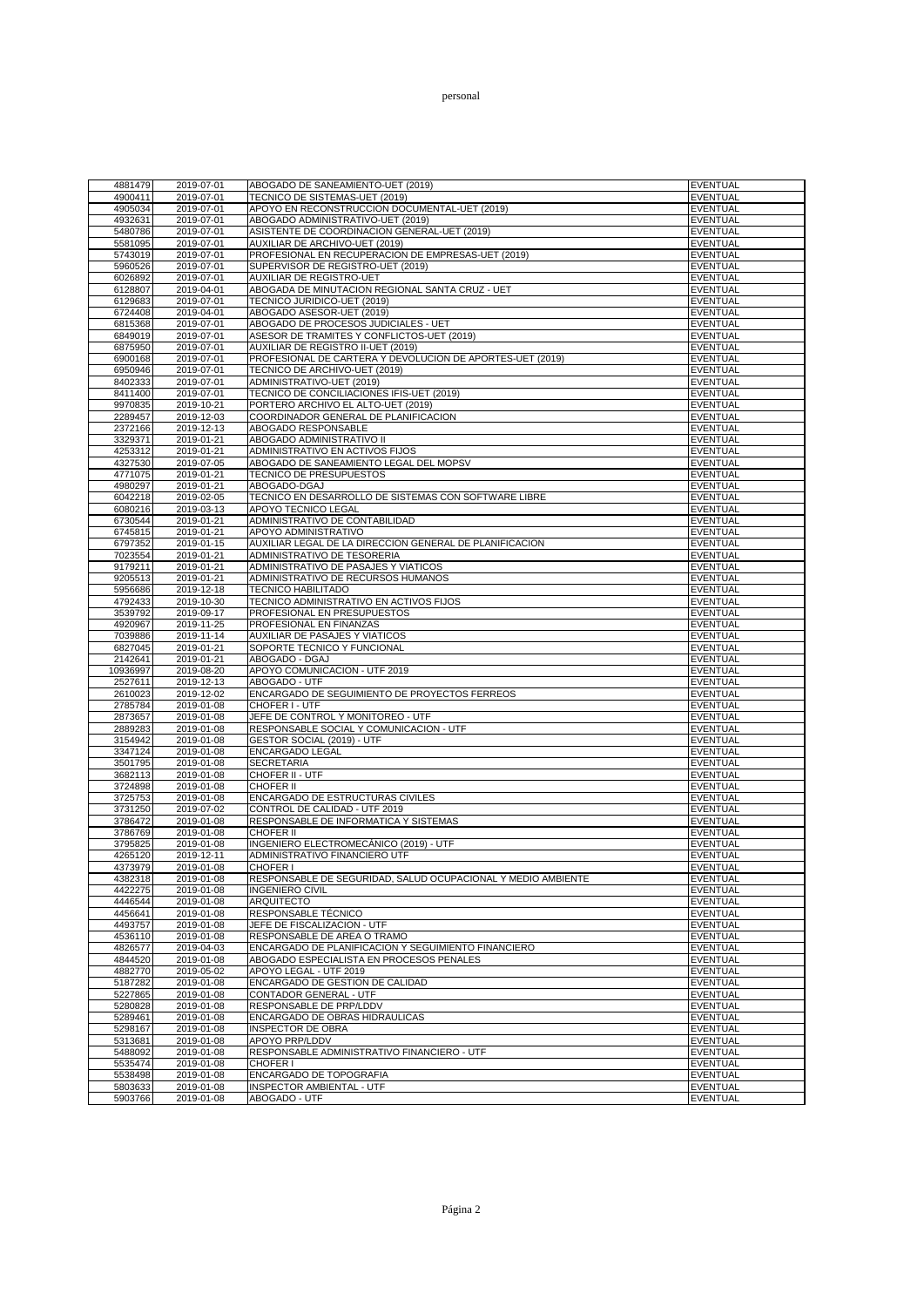| 4881479            | 2019-07-01               | ABOGADO DE SANEAMIENTO-UET (2019)                                 | <b>EVENTUAL</b>             |
|--------------------|--------------------------|-------------------------------------------------------------------|-----------------------------|
| 4900411            | 2019-07-01               | TECNICO DE SISTEMAS-UET (2019)                                    | <b>EVENTUAL</b>             |
| 4905034            | 2019-07-01               | APOYO EN RECONSTRUCCION DOCUMENTAL-UET (2019)                     | <b>EVENTUAL</b>             |
| 4932631            | 2019-07-01               | ABOGADO ADMINISTRATIVO-UET (2019)                                 | <b>EVENTUAL</b>             |
| 5480786            | 2019-07-01               | ASISTENTE DE COORDINACION GENERAL-UET (2019)                      | EVENTUAL                    |
| 5581095            | 2019-07-01               | AUXILIAR DE ARCHIVO-UET (2019)                                    | <b>EVENTUAL</b>             |
| 5743019            | 2019-07-01               | PROFESIONAL EN RECUPERACION DE EMPRESAS-UET (2019)                | EVENTUAL                    |
| 5960526            | 2019-07-01               | SUPERVISOR DE REGISTRO-UET (2019)                                 | <b>EVENTUAL</b>             |
| 6026892            | 2019-07-01               | AUXILIAR DE REGISTRO-UET                                          | <b>EVENTUAL</b>             |
| 6128807            | 2019-04-01               | ABOGADA DE MINUTACION REGIONAL SANTA CRUZ - UET                   | <b>EVENTUAL</b>             |
| 6129683            | 2019-07-01               | TECNICO JURIDICO-UET (2019)                                       | EVENTUAL                    |
| 6724408            | 2019-04-01               | ABOGADO ASESOR-UET (2019)<br>ABOGADO DE PROCESOS JUDICIALES - UET | EVENTUAL                    |
| 6815368<br>6849019 | 2019-07-01<br>2019-07-01 | ASESOR DE TRAMITES Y CONFLICTOS-UET (2019)                        | <b>EVENTUAL</b><br>EVENTUAL |
| 6875950            | 2019-07-01               | AUXILIAR DE REGISTRO II-UET (2019)                                | EVENTUAL                    |
| 6900168            | 2019-07-01               | PROFESIONAL DE CARTERA Y DEVOLUCION DE APORTES-UET (2019)         | EVENTUAL                    |
| 6950946            | 2019-07-01               | TECNICO DE ARCHIVO-UET (2019)                                     | EVENTUAL                    |
| 8402333            | 2019-07-01               | ADMINISTRATIVO-UET (2019)                                         | <b>EVENTUAL</b>             |
| 8411400            | 2019-07-01               | TECNICO DE CONCILIACIONES IFIS-UET (2019)                         | <b>EVENTUAL</b>             |
| 9970835            | 2019-10-21               | PORTERO ARCHIVO EL ALTO-UET (2019)                                | <b>EVENTUAL</b>             |
| 2289457            | 2019-12-03               | COORDINADOR GENERAL DE PLANIFICACION                              | <b>EVENTUAL</b>             |
| 2372166            | 2019-12-13               | ABOGADO RESPONSABLE                                               | <b>EVENTUAL</b>             |
| 3329371            | 2019-01-21               | ABOGADO ADMINISTRATIVO II                                         | <b>EVENTUAL</b>             |
| 4253312            | 2019-01-21               | ADMINISTRATIVO EN ACTIVOS FIJOS                                   | <b>EVENTUAL</b>             |
| 4327530            | 2019-07-05               | ABOGADO DE SANEAMIENTO LEGAL DEL MOPSV                            | EVENTUAL                    |
| 4771075            | 2019-01-21               | TECNICO DE PRESUPUESTOS                                           | <b>EVENTUAL</b>             |
| 4980297            | 2019-01-21               | ABOGADO-DGAJ                                                      | <b>EVENTUAL</b>             |
| 6042218            | 2019-02-05               | TECNICO EN DESARROLLO DE SISTEMAS CON SOFTWARE LIBRE              | <b>EVENTUAL</b>             |
| 6080216            | 2019-03-13               | APOYO TECNICO LEGAL                                               | EVENTUAL                    |
| 6730544            | 2019-01-21               | ADMINISTRATIVO DE CONTABILIDAD                                    | <b>EVENTUAL</b>             |
| 6745815            | 2019-01-21               | APOYO ADMINISTRATIVO                                              | <b>EVENTUAL</b>             |
| 6797352            | 2019-01-15               | AUXILIAR LEGAL DE LA DIRECCION GENERAL DE PLANIFICACION           | EVENTUAL                    |
| 7023554            | 2019-01-21               | ADMINISTRATIVO DE TESORERIA                                       | <b>EVENTUAL</b>             |
| 9179211            | 2019-01-21               | ADMINISTRATIVO DE PASAJES Y VIATICOS                              | EVENTUAL                    |
| 9205513            | 2019-01-21               | ADMINISTRATIVO DE RECURSOS HUMANOS                                | EVENTUAL                    |
| 5956686            | 2019-12-18               | <b>TECNICO HABILITADO</b>                                         | <b>EVENTUAL</b>             |
| 4792433            | 2019-10-30               | TECNICO ADMINISTRATIVO EN ACTIVOS FIJOS                           | EVENTUAL                    |
| 3539792            | 2019-09-17               | PROFESIONAL EN PRESUPUESTOS<br>PROFESIONAL EN FINANZAS            | <b>EVENTUAL</b>             |
| 4920967<br>7039886 | 2019-11-25<br>2019-11-14 | AUXILIAR DE PASAJES Y VIATICOS                                    | EVENTUAL<br>EVENTUAL        |
| 6827045            | 2019-01-21               | SOPORTE TECNICO Y FUNCIONAL                                       | EVENTUAL                    |
| 2142641            | 2019-01-21               | ABOGADO - DGAJ                                                    | EVENTUAL                    |
| 10936997           | 2019-08-20               | APOYO COMUNICACION - UTF 2019                                     | <b>EVENTUAL</b>             |
| 2527611            | 2019-12-13               | ABOGADO - UTF                                                     | <b>EVENTUAL</b>             |
| 2610023            | 2019-12-02               | ENCARGADO DE SEGUIMIENTO DE PROYECTOS FERREOS                     | <b>EVENTUAL</b>             |
| 2785784            | 2019-01-08               | CHOFER I - UTF                                                    | <b>EVENTUAL</b>             |
| 2873657            | 2019-01-08               | JEFE DE CONTROL Y MONITOREO - UTF                                 | <b>EVENTUAL</b>             |
| 2889283            | 2019-01-08               | RESPONSABLE SOCIAL Y COMUNICACION - UTF                           | <b>EVENTUAL</b>             |
| 3154942            | 2019-01-08               | GESTOR SOCIAL (2019) - UTF                                        | <b>EVENTUAL</b>             |
| 3347124            | 2019-01-08               | ENCARGADO LEGAL                                                   | EVENTUAL                    |
| 3501795            | 2019-01-08               | <b>SECRETARIA</b>                                                 | <b>EVENTUAL</b>             |
| 3682113            | 2019-01-08               | CHOFER II - UTF                                                   | <b>EVENTUAL</b>             |
| 3724898            | 2019-01-08               | <b>CHOFER II</b>                                                  | EVENTUAL                    |
| 3725753            | 2019-01-08               | <b>ENCARGADO DE ESTRUCTURAS CIVILES</b>                           | EVENTUAL                    |
| 3731250            | 2019-07-02               | CONTROL DE CALIDAD - UTF 2019                                     | <b>EVENTUAL</b>             |
| 3786472            | 2019-01-08               | RESPONSABLE DE INFORMATICA Y SISTEMAS                             | <b>EVENTUAL</b>             |
| 3786769            | 2019-01-08               | CHOFER II                                                         | EVENTUAL                    |
| 3795825            | 2019-01-08               | INGENIERO ELECTROMECÁNICO (2019) - UTF                            | <b>EVENTUAL</b>             |
| 4265120            | 2019-12-11               | ADMINISTRATIVO FINANCIERO UTF                                     | EVENTUAL                    |
| 4373979            | 2019-01-08               | CHOFER I                                                          | EVENTUAL                    |
| 4382318            | 2019-01-08               | RESPONSABLE DE SEGURIDAD, SALUD OCUPACIONAL Y MEDIO AMBIENTE      | EVENTUAL                    |
| 4422275            | 2019-01-08               | <b>INGENIERO CIVIL</b>                                            | EVENTUAL                    |
| 4446544<br>4456641 | 2019-01-08               | <b>ARQUITECTO</b><br>RESPONSABLE TÉCNICO                          | EVENTUAL<br><b>EVENTUAL</b> |
| 4493757            | 2019-01-08<br>2019-01-08 | JEFE DE FISCALIZACION - UTF                                       | EVENTUAL                    |
| 4536110            | 2019-01-08               | RESPONSABLE DE AREA O TRAMO                                       | <b>EVENTUAL</b>             |
| 4826577            | 2019-04-03               | ENCARGADO DE PLANIFICACION Y SEGUIMIENTO FINANCIERO               | EVENTUAL                    |
| 4844520            | 2019-01-08               | ABOGADO ESPECIALISTA EN PROCESOS PENALES                          | <b>EVENTUAL</b>             |
| 4882770            | 2019-05-02               | APOYO LEGAL - UTF 2019                                            | EVENTUAL                    |
| 5187282            | 2019-01-08               | ENCARGADO DE GESTION DE CALIDAD                                   | EVENTUAL                    |
| 5227865            | 2019-01-08               | CONTADOR GENERAL - UTF                                            | EVENTUAL                    |
| 5280828            | 2019-01-08               | RESPONSABLE DE PRP/LDDV                                           | <b>EVENTUAL</b>             |
| 5289461            | 2019-01-08               | <b>ENCARGADO DE OBRAS HIDRAULICAS</b>                             | <b>EVENTUAL</b>             |
| 5298167            | 2019-01-08               | <b>INSPECTOR DE OBRA</b>                                          | <b>EVENTUAL</b>             |
| 5313681            | 2019-01-08               | APOYO PRP/LDDV                                                    | EVENTUAL                    |
| 5488092            | 2019-01-08               | RESPONSABLE ADMINISTRATIVO FINANCIERO - UTF                       | <b>EVENTUAL</b>             |
| 5535474            | 2019-01-08               | CHOFER I                                                          | <b>EVENTUAL</b>             |
| 5538498            | 2019-01-08               | ENCARGADO DE TOPOGRAFIA                                           | <b>EVENTUAL</b>             |
| 5803633            | 2019-01-08               | <b>INSPECTOR AMBIENTAL - UTF</b>                                  | <b>EVENTUAL</b>             |
| 5903766            | 2019-01-08               | ABOGADO - UTF                                                     | EVENTUAL                    |
|                    |                          |                                                                   |                             |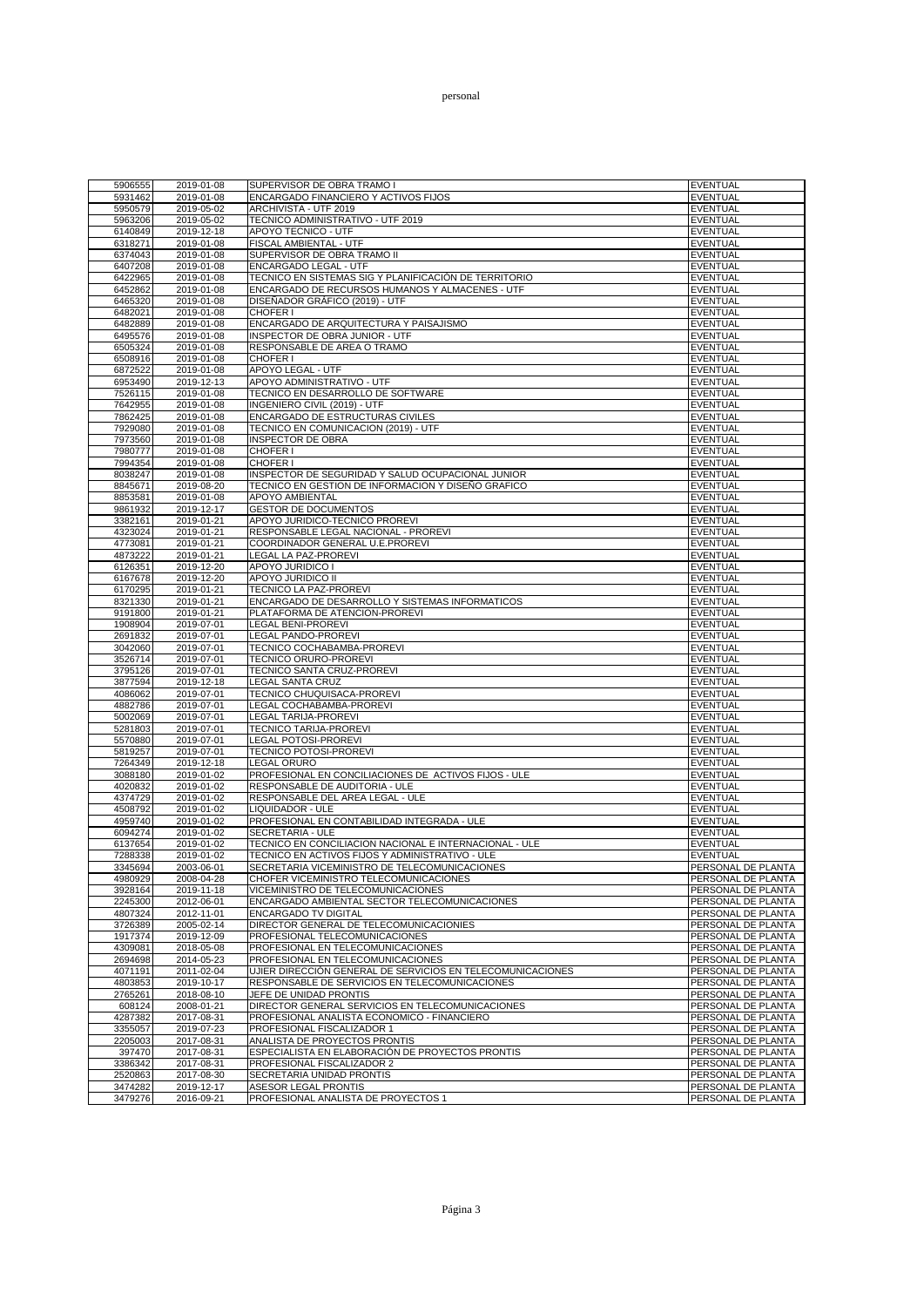| 5906555 | 2019-01-08 | SUPERVISOR DE OBRA TRAMO I                                 | <b>EVENTUAL</b>    |
|---------|------------|------------------------------------------------------------|--------------------|
| 5931462 | 2019-01-08 | ENCARGADO FINANCIERO Y ACTIVOS FIJOS                       | EVENTUAL           |
| 5950579 | 2019-05-02 | ARCHIVISTA - UTF 2019                                      | <b>EVENTUAL</b>    |
| 5963206 |            |                                                            | <b>EVENTUAL</b>    |
|         | 2019-05-02 | TECNICO ADMINISTRATIVO - UTF 2019                          |                    |
| 6140849 | 2019-12-18 | APOYO TECNICO - UTF                                        | <b>EVENTUAL</b>    |
| 6318271 | 2019-01-08 | FISCAL AMBIENTAL - UTF                                     | <b>EVENTUAL</b>    |
| 6374043 | 2019-01-08 | SUPERVISOR DE OBRA TRAMO II                                | <b>EVENTUAL</b>    |
|         |            |                                                            |                    |
| 6407208 | 2019-01-08 | ENCARGADO LEGAL - UTF                                      | <b>EVENTUAL</b>    |
| 6422965 | 2019-01-08 | TECNICO EN SISTEMAS SIG Y PLANIFICACIÓN DE TERRITORIO      | <b>EVENTUAL</b>    |
| 6452862 | 2019-01-08 | ENCARGADO DE RECURSOS HUMANOS Y ALMACENES - UTF            | <b>EVENTUAL</b>    |
| 6465320 | 2019-01-08 | DISEÑADOR GRÁFICO (2019) - UTF                             | <b>EVENTUAL</b>    |
|         |            |                                                            |                    |
| 6482021 | 2019-01-08 | CHOFER I                                                   | <b>EVENTUAL</b>    |
| 6482889 | 2019-01-08 | ENCARGADO DE ARQUITECTURA Y PAISAJISMO                     | <b>EVENTUAL</b>    |
| 6495576 | 2019-01-08 | INSPECTOR DE OBRA JUNIOR - UTF                             | <b>EVENTUAL</b>    |
| 6505324 | 2019-01-08 | RESPONSABLE DE AREA O TRAMO                                | <b>EVENTUAL</b>    |
|         |            |                                                            |                    |
| 6508916 | 2019-01-08 | CHOFER I                                                   | EVENTUAL           |
| 6872522 | 2019-01-08 | <b>APOYO LEGAL - UTF</b>                                   | <b>EVENTUAL</b>    |
| 6953490 | 2019-12-13 | APOYO ADMINISTRATIVO - UTF                                 | <b>EVENTUAL</b>    |
| 7526115 | 2019-01-08 | TECNICO EN DESARROLLO DE SOFTWARE                          | <b>EVENTUAL</b>    |
| 7642955 |            |                                                            | <b>EVENTUAL</b>    |
|         | 2019-01-08 | INGENIERO CIVIL (2019) - UTF                               |                    |
| 7862425 | 2019-01-08 | ENCARGADO DE ESTRUCTURAS CIVILES                           | <b>EVENTUAL</b>    |
| 7929080 | 2019-01-08 | TECNICO EN COMUNICACION (2019) - UTF                       | <b>EVENTUAL</b>    |
| 7973560 | 2019-01-08 | <b>INSPECTOR DE OBRA</b>                                   | <b>EVENTUAL</b>    |
| 7980777 | 2019-01-08 | CHOFER I                                                   | <b>EVENTUAL</b>    |
|         |            |                                                            |                    |
| 7994354 | 2019-01-08 | CHOFER I                                                   | <b>EVENTUAL</b>    |
| 8038247 | 2019-01-08 | INSPECTOR DE SEGURIDAD Y SALUD OCUPACIONAL JUNIOR          | <b>EVENTUAL</b>    |
| 8845671 | 2019-08-20 | TECNICO EN GESTION DE INFORMACION Y DISEÑO GRAFICO         | <b>EVENTUAL</b>    |
| 8853581 | 2019-01-08 | <b>APOYO AMBIENTAL</b>                                     | <b>EVENTUAL</b>    |
|         |            |                                                            |                    |
| 9861932 | 2019-12-17 | <b>GESTOR DE DOCUMENTOS</b>                                | <b>EVENTUAL</b>    |
| 3382161 | 2019-01-21 | APOYO JURIDICO-TECNICO PROREVI                             | <b>EVENTUAL</b>    |
| 4323024 | 2019-01-21 | RESPONSABLE LEGAL NACIONAL - PROREVI                       | <b>EVENTUAL</b>    |
| 4773081 | 2019-01-21 | COORDINADOR GENERAL U.E.PROREVI                            | EVENTUAL           |
|         |            |                                                            |                    |
| 4873222 | 2019-01-21 | LEGAL LA PAZ-PROREVI                                       | <b>EVENTUAL</b>    |
| 6126351 | 2019-12-20 | APOYO JURIDICO I                                           | <b>EVENTUAL</b>    |
| 6167678 | 2019-12-20 | APOYO JURIDICO II                                          | <b>EVENTUAL</b>    |
| 6170295 | 2019-01-21 | TECNICO LA PAZ-PROREVI                                     | <b>EVENTUAL</b>    |
|         |            |                                                            |                    |
| 8321330 | 2019-01-21 | ENCARGADO DE DESARROLLO Y SISTEMAS INFORMATICOS            | <b>EVENTUAL</b>    |
| 9191800 | 2019-01-21 | PLATAFORMA DE ATENCION-PROREVI                             | <b>EVENTUAL</b>    |
| 1908904 | 2019-07-01 | <b>LEGAL BENI-PROREVI</b>                                  | <b>EVENTUAL</b>    |
| 2691832 | 2019-07-01 | LEGAL PANDO-PROREVI                                        | <b>EVENTUAL</b>    |
|         |            |                                                            |                    |
| 3042060 | 2019-07-01 | TECNICO COCHABAMBA-PROREVI                                 | <b>EVENTUAL</b>    |
| 3526714 | 2019-07-01 | TECNICO ORURO-PROREVI                                      | <b>EVENTUAL</b>    |
| 3795126 | 2019-07-01 | TECNICO SANTA CRUZ-PROREVI                                 | <b>EVENTUAL</b>    |
| 3877594 | 2019-12-18 | LEGAL SANTA CRUZ                                           | <b>EVENTUAL</b>    |
|         |            |                                                            |                    |
| 4086062 | 2019-07-01 | TECNICO CHUQUISACA-PROREVI                                 | <b>EVENTUAL</b>    |
| 4882786 | 2019-07-01 | LEGAL COCHABAMBA-PROREVI                                   | <b>EVENTUAL</b>    |
| 5002069 | 2019-07-01 | LEGAL TARIJA-PROREVI                                       | <b>EVENTUAL</b>    |
| 5281803 | 2019-07-01 | TECNICO TARIJA-PROREVI                                     | <b>EVENTUAL</b>    |
|         |            |                                                            |                    |
| 5570880 | 2019-07-01 | LEGAL POTOSI-PROREVI                                       | <b>EVENTUAL</b>    |
| 5819257 | 2019-07-01 | TECNICO POTOSI-PROREVI                                     | <b>EVENTUAL</b>    |
| 7264349 | 2019-12-18 | <b>LEGAL ORURO</b>                                         | <b>EVENTUAL</b>    |
| 3088180 | 2019-01-02 | PROFESIONAL EN CONCILIACIONES DE ACTIVOS FIJOS - ULE       | <b>EVENTUAL</b>    |
| 4020832 |            |                                                            |                    |
|         | 2019-01-02 | RESPONSABLE DE AUDITORIA - ULE                             | <b>EVENTUAL</b>    |
| 4374729 | 2019-01-02 | RESPONSABLE DEL AREA LEGAL - ULE                           | <b>EVENTUAL</b>    |
| 4508792 | 2019-01-02 | <b>LIQUIDADOR - ULE</b>                                    | <b>EVENTUAL</b>    |
| 4959740 | 2019-01-02 | PROFESIONAL EN CONTABILIDAD INTEGRADA - ULE                | <b>EVENTUAL</b>    |
| 6094274 | 2019-01-02 | SECRETARIA - ULE                                           | <b>EVENTUAL</b>    |
|         |            |                                                            |                    |
| 6137654 | 2019-01-02 | TECNICO EN CONCILIACION NACIONAL E INTERNACIONAL - ULE     | <b>EVENTUAL</b>    |
| 7288338 | 2019-01-02 | TECNICO EN ACTIVOS FIJOS Y ADMINISTRATIVO - ULE            | <b>EVENTUAL</b>    |
| 3345694 | 2003-06-01 | SECRETARIA VICEMINISTRO DE TELECOMUNICACIONES              | PERSONAL DE PLANTA |
| 4980929 | 2008-04-28 | CHOFER VICEMINISTRO TELECOMUNICACIONES                     | PERSONAL DE PLANTA |
|         |            |                                                            |                    |
| 3928164 | 2019-11-18 | VICEMINISTRO DE TELECOMUNICACIONES                         | PERSONAL DE PLANTA |
| 2245300 | 2012-06-01 | ENCARGADO AMBIENTAL SECTOR TELECOMUNICACIONES              | PERSONAL DE PLANTA |
| 4807324 | 2012-11-01 | <b>ENCARGADO TV DIGITAL</b>                                | PERSONAL DE PLANTA |
| 3726389 | 2005-02-14 | DIRECTOR GENERAL DE TELECOMUNICACIONIES                    | PERSONAL DE PLANTA |
|         |            | PROFESIONAL TELECOMUNICACIONES                             |                    |
| 1917374 | 2019-12-09 |                                                            | PERSONAL DE PLANTA |
| 4309081 | 2018-05-08 | PROFESIONAL EN TELECOMUNICACIONES                          | PERSONAL DE PLANTA |
| 2694698 | 2014-05-23 | PROFESIONAL EN TELECOMUNICACIONES                          | PERSONAL DE PLANTA |
| 4071191 | 2011-02-04 | UJIER DIRECCIÓN GENERAL DE SERVICIOS EN TELECOMUNICACIONES | PERSONAL DE PLANTA |
| 4803853 | 2019-10-17 | RESPONSABLE DE SERVICIOS EN TELECOMUNICACIONES             | PERSONAL DE PLANTA |
|         |            |                                                            |                    |
| 2765261 | 2018-08-10 | JEFE DE UNIDAD PRONTIS                                     | PERSONAL DE PLANTA |
| 608124  | 2008-01-21 | DIRECTOR GENERAL SERVICIOS EN TELECOMUNICACIONES           | PERSONAL DE PLANTA |
| 4287382 | 2017-08-31 | PROFESIONAL ANALISTA ECONOMICO - FINANCIERO                | PERSONAL DE PLANTA |
| 3355057 | 2019-07-23 | PROFESIONAL FISCALIZADOR 1                                 | PERSONAL DE PLANTA |
|         |            |                                                            |                    |
| 2205003 | 2017-08-31 | ANALISTA DE PROYECTOS PRONTIS                              | PERSONAL DE PLANTA |
| 397470  | 2017-08-31 | ESPECIALISTA EN ELABORACIÓN DE PROYECTOS PRONTIS           | PERSONAL DE PLANTA |
| 3386342 | 2017-08-31 | PROFESIONAL FISCALIZADOR 2                                 | PERSONAL DE PLANTA |
|         |            |                                                            |                    |
| 2520863 | 2017-08-30 | SECRETARIA UNIDAD PRONTIS                                  | PERSONAL DE PLANTA |
| 3474282 | 2019-12-17 | ASESOR LEGAL PRONTIS                                       | PERSONAL DE PLANTA |
| 3479276 | 2016-09-21 | PROFESIONAL ANALISTA DE PROYECTOS 1                        | PERSONAL DE PLANTA |
|         |            |                                                            |                    |

Página 3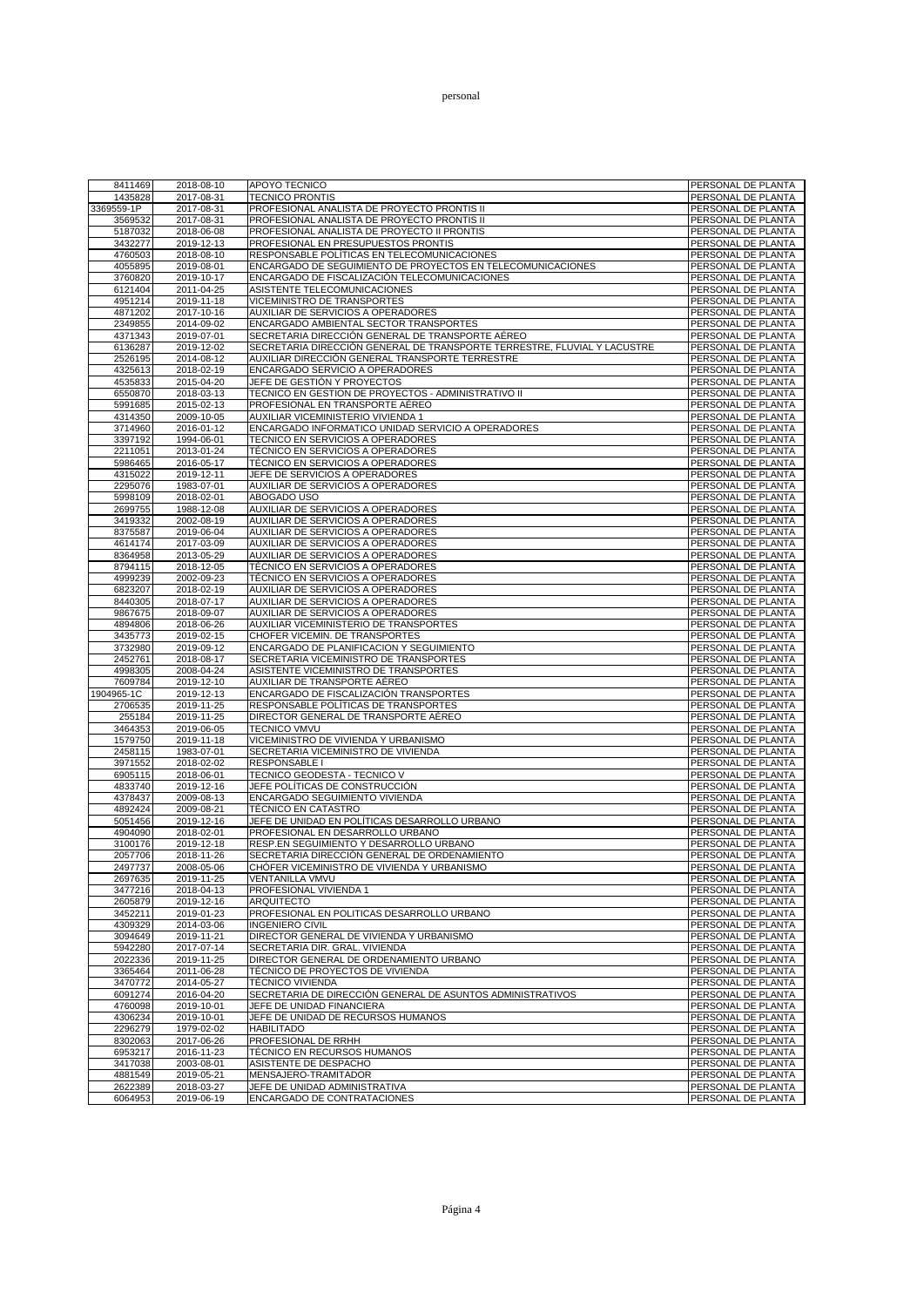## personal

| 8411469            | 2018-08-10               | <b>APOYO TECNICO</b>                                                                        | PERSONAL DE PLANTA                       |
|--------------------|--------------------------|---------------------------------------------------------------------------------------------|------------------------------------------|
| 1435828            | 2017-08-31               | <b>TECNICO PRONTIS</b>                                                                      | PERSONAL DE PLANTA                       |
| 3369559-1P         | 2017-08-31               | PROFESIONAL ANALISTA DE PROYECTO PRONTIS II                                                 | PERSONAL DE PLANTA                       |
| 3569532<br>5187032 | 2017-08-31<br>2018-06-08 | PROFESIONAL ANALISTA DE PROYECTO PRONTIS II<br>PROFESIONAL ANALISTA DE PROYECTO II PRONTIS  | PERSONAL DE PLANTA<br>PERSONAL DE PLANTA |
| 3432277            | 2019-12-13               | PROFESIONAL EN PRESUPUESTOS PRONTIS                                                         | PERSONAL DE PLANTA                       |
| 4760503            | 2018-08-10               | RESPONSABLE POLÍTICAS EN TELECOMUNICACIONES                                                 | PERSONAL DE PLANTA                       |
| 4055895            | 2019-08-01               | ENCARGADO DE SEGUIMIENTO DE PROYECTOS EN TELECOMUNICACIONES                                 | PERSONAL DE PLANTA                       |
| 3760820            | 2019-10-17               | ENCARGADO DE FISCALIZACIÓN TELECOMUNICACIONES                                               | PERSONAL DE PLANTA                       |
| 6121404            | 2011-04-25               | ASISTENTE TELECOMUNICACIONES                                                                | PERSONAL DE PLANTA                       |
| 4951214            | 2019-11-18               | VICEMINISTRO DE TRANSPORTES                                                                 | PERSONAL DE PLANTA                       |
| 4871202<br>2349855 | 2017-10-16<br>2014-09-02 | AUXILIAR DE SERVICIOS A OPERADORES<br>ENCARGADO AMBIENTAL SECTOR TRANSPORTES                | PERSONAL DE PLANTA<br>PERSONAL DE PLANTA |
| 4371343            | 2019-07-01               | SECRETARIA DIRECCIÓN GENERAL DE TRANSPORTE AÉREO                                            | PERSONAL DE PLANTA                       |
| 6136287            | 2019-12-02               | SECRETARIA DIRECCIÓN GENERAL DE TRANSPORTE TERRESTRE, FLUVIAL Y LACUSTRE                    | PERSONAL DE PLANTA                       |
| 2526195            | 2014-08-12               | AUXILIAR DIRECCIÓN GENERAL TRANSPORTE TERRESTRE                                             | PERSONAL DE PLANTA                       |
| 4325613            | 2018-02-19               | ENCARGADO SERVICIO A OPERADORES                                                             | PERSONAL DE PLANTA                       |
| 4535833<br>6550870 | 2015-04-20<br>2018-03-13 | JEFE DE GESTIÓN Y PROYECTOS<br>TECNICO EN GESTION DE PROYECTOS - ADMINISTRATIVO II          | PERSONAL DE PLANTA<br>PERSONAL DE PLANTA |
| 5991685            | 2015-02-13               | PROFESIONAL EN TRANSPORTE AÉREO                                                             | PERSONAL DE PLANTA                       |
| 4314350            | 2009-10-05               | AUXILIAR VICEMINISTERIO VIVIENDA 1                                                          | PERSONAL DE PLANTA                       |
| 3714960            | 2016-01-12               | ENCARGADO INFORMATICO UNIDAD SERVICIO A OPERADORES                                          | PERSONAL DE PLANTA                       |
| 3397192            | 1994-06-01               | TECNICO EN SERVICIOS A OPERADORES                                                           | PERSONAL DE PLANTA                       |
| 2211051            | 2013-01-24               | TÉCNICO EN SERVICIOS A OPERADORES                                                           | PERSONAL DE PLANTA                       |
| 5986465<br>4315022 | 2016-05-17<br>2019-12-11 | TÉCNICO EN SERVICIOS A OPERADORES<br>JEFE DE SERVICIOS A OPERADORES                         | PERSONAL DE PLANTA                       |
| 2295076            | 1983-07-01               | AUXILIAR DE SERVICIOS A OPERADORES                                                          | PERSONAL DE PLANTA<br>PERSONAL DE PLANTA |
| 5998109            | 2018-02-01               | ABOGADO USO                                                                                 | PERSONAL DE PLANTA                       |
| 2699755            | 1988-12-08               | AUXILIAR DE SERVICIOS A OPERADORES                                                          | PERSONAL DE PLANTA                       |
| 3419332            | 2002-08-19               | AUXILIAR DE SERVICIOS A OPERADORES                                                          | PERSONAL DE PLANTA                       |
| 8375587<br>4614174 | 2019-06-04<br>2017-03-09 | AUXILIAR DE SERVICIOS A OPERADORES<br>AUXILIAR DE SERVICIOS A OPERADORES                    | PERSONAL DE PLANTA                       |
| 8364958            | 2013-05-29               | AUXILIAR DE SERVICIOS A OPERADORES                                                          | PERSONAL DE PLANTA<br>PERSONAL DE PLANTA |
| 8794115            | 2018-12-05               | TÉCNICO EN SERVICIOS A OPERADORES                                                           | PERSONAL DE PLANTA                       |
| 4999239            | 2002-09-23               | TÉCNICO EN SERVICIOS A OPERADORES                                                           | PERSONAL DE PLANTA                       |
| 6823207            | 2018-02-19               | AUXILIAR DE SERVICIOS A OPERADORES                                                          | PERSONAL DE PLANTA                       |
| 8440305<br>9867675 | 2018-07-17<br>2018-09-07 | AUXILIAR DE SERVICIOS A OPERADORES<br>AUXILIAR DE SERVICIOS A OPERADORES                    | PERSONAL DE PLANTA<br>PERSONAL DE PLANTA |
| 4894806            | 2018-06-26               | AUXILIAR VICEMINISTERIO DE TRANSPORTES                                                      | PERSONAL DE PLANTA                       |
| 3435773            | 2019-02-15               | CHOFER VICEMIN. DE TRANSPORTES                                                              | PERSONAL DE PLANTA                       |
| 3732980            | 2019-09-12               | ENCARGADO DE PLANIFICACION Y SEGUIMIENTO                                                    | PERSONAL DE PLANTA                       |
| 2452761<br>4998305 | 2018-08-17<br>2008-04-24 | SECRETARIA VICEMINISTRO DE TRANSPORTES<br>ASISTENTE VICEMINISTRO DE TRANSPORTES             | PERSONAL DE PLANTA<br>PERSONAL DE PLANTA |
| 7609784            | 2019-12-10               | AUXILIAR DE TRANSPORTE AÉREO                                                                | PERSONAL DE PLANTA                       |
| 1904965-1C         | 2019-12-13               | ENCARGADO DE FISCALIZACIÓN TRANSPORTES                                                      | PERSONAL DE PLANTA                       |
| 2706535            | 2019-11-25               | RESPONSABLE POLÍTICAS DE TRANSPORTES                                                        | PERSONAL DE PLANTA                       |
| 255184<br>3464353  | 2019-11-25<br>2019-06-05 | DIRECTOR GENERAL DE TRANSPORTE AÉREO<br><b>TECNICO VMVU</b>                                 | PERSONAL DE PLANTA<br>PERSONAL DE PLANTA |
| 1579750            | 2019-11-18               | VICEMINISTRO DE VIVIENDA Y URBANISMO                                                        | PERSONAL DE PLANTA                       |
| 2458115            | 1983-07-01               | SECRETARIA VICEMINISTRO DE VIVIENDA                                                         | PERSONAL DE PLANTA                       |
| 3971552            | 2018-02-02               | <b>RESPONSABLE I</b>                                                                        | PERSONAL DE PLANTA                       |
| 6905115            | 2018-06-01               | TECNICO GEODESTA - TECNICO V                                                                | PERSONAL DE PLANTA                       |
| 4833740<br>4378437 | 2019-12-16<br>2009-08-13 | JEFE POLÍTICAS DE CONSTRUCCIÓN<br>ENCARGADO SEGUIMIENTO VIVIENDA                            | PERSONAL DE PLANTA<br>PERSONAL DE PLANTA |
| 4892424            | 2009-08-21               | <b>TÉCNICO EN CATASTRO</b>                                                                  | PERSONAL DE PLANTA                       |
| 5051456            | 2019-12-16               | JEFE DE UNIDAD EN POLÍTICAS DESARROLLO URBANO                                               | PERSONAL DE PLANTA                       |
| 4904090            | 2018-02-01               | PROFESIONAL EN DESARROLLO URBANO                                                            | PERSONAL DE PLANTA                       |
| 3100176            | 2019-12-18               | RESP.EN SEGUIMIENTO Y DESARROLLO URBANO                                                     | PERSONAL DE PLANTA                       |
| 2057706<br>2497737 | 2018-11-26<br>2008-05-06 | SECRETARIA DIRECCIÓN GENERAL DE ORDENAMIENTO<br>CHÓFER VICEMINISTRO DE VIVIENDA Y URBANISMO | PERSONAL DE PLANTA<br>PERSONAL DE PLANTA |
| 2697635            | 2019-11-25               | VENTANILLA VMVU                                                                             | PERSONAL DE PLANTA                       |
| 3477216            | 2018-04-13               | PROFESIONAL VIVIENDA 1                                                                      | PERSONAL DE PLANTA                       |
| 2605879            | 2019-12-16               | <b>ARQUITECTO</b>                                                                           | PERSONAL DE PLANTA                       |
| 3452211            | 2019-01-23               | PROFESIONAL EN POLITICAS DESARROLLO URBANO                                                  | PERSONAL DE PLANTA                       |
| 4309329<br>3094649 | 2014-03-06<br>2019-11-21 | <b>INGENIERO CIVIL</b><br>DIRECTOR GENERAL DE VIVIENDA Y URBANISMO                          | PERSONAL DE PLANTA<br>PERSONAL DE PLANTA |
| 5942280            | 2017-07-14               | SECRETARIA DIR. GRAL. VIVIENDA                                                              | PERSONAL DE PLANTA                       |
| 2022336            | 2019-11-25               | DIRECTOR GENERAL DE ORDENAMIENTO URBANO                                                     | PERSONAL DE PLANTA                       |
| 3365464            | 2011-06-28               | TÉCNICO DE PROYECTOS DE VIVIENDA                                                            | PERSONAL DE PLANTA                       |
| 3470772            | 2014-05-27               | <b>TÉCNICO VIVIENDA</b><br>SECRETARIA DE DIRECCIÓN GENERAL DE ASUNTOS ADMINISTRATIVOS       | PERSONAL DE PLANTA                       |
| 6091274<br>4760098 | 2016-04-20<br>2019-10-01 | JEFE DE UNIDAD FINANCIERA                                                                   | PERSONAL DE PLANTA<br>PERSONAL DE PLANTA |
| 4306234            | 2019-10-01               | JEFE DE UNIDAD DE RECURSOS HUMANOS                                                          | PERSONAL DE PLANTA                       |
| 2296279            | 1979-02-02               | <b>HABILITADO</b>                                                                           | PERSONAL DE PLANTA                       |
| 8302063            | 2017-06-26               | PROFESIONAL DE RRHH                                                                         | PERSONAL DE PLANTA                       |
| 6953217<br>3417038 | 2016-11-23<br>2003-08-01 | TÉCNICO EN RECURSOS HUMANOS<br>ASISTENTE DE DESPACHO                                        | PERSONAL DE PLANTA<br>PERSONAL DE PLANTA |
| 4881549            | 2019-05-21               | MENSAJERO-TRAMITADOR                                                                        | PERSONAL DE PLANTA                       |
| 2622389            | 2018-03-27               | JEFE DE UNIDAD ADMINISTRATIVA                                                               | PERSONAL DE PLANTA                       |
| 6064953            | 2019-06-19               | ENCARGADO DE CONTRATACIONES                                                                 | PERSONAL DE PLANTA                       |